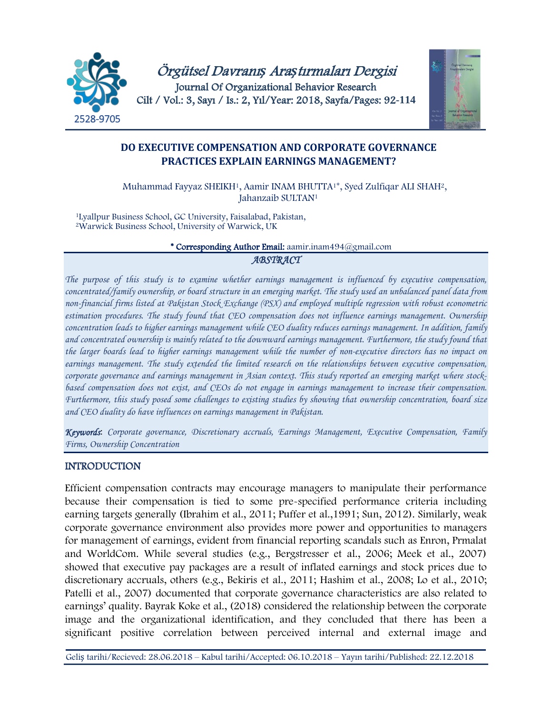

Örgütsel Davranı*ş* Ara*ş*tırmaları Dergisi Journal Of Organizational Behavior Research Cilt / Vol.: 3, Sayı / Is.: 2, Yıl/Year: 2018, Sayfa/Pages: 92**-114**



# **DO EXECUTIVE COMPENSATION AND CORPORATE GOVERNANCE PRACTICES EXPLAIN EARNINGS MANAGEMENT?**

 Muhammad Fayyaz SHEIKH1, Aamir INAM BHUTTA1\*, Syed Zulfiqar ALI SHAH2, Jahanzaib SULTAN1

1Lyallpur Business School, GC University, Faisalabad, Pakistan, <sup>2</sup>Warwick Business School, University of Warwick, UK

#### \* Corresponding Author Email: aamir.inam494@gmail.com

#### *ABSTRACT*

*The purpose of this study is to examine whether earnings management is influenced by executive compensation, concentrated/family ownership, or board structure in an emerging market. The study used an unbalanced panel data from non-financial firms listed at Pakistan Stock Exchange (PSX) and employed multiple regression with robust econometric estimation procedures. The study found that CEO compensation does not influence earnings management. Ownership concentration leads to higher earnings management while CEO duality reduces earnings management. In addition, family*  and concentrated ownership is mainly related to the downward earnings management. Furthermore, the study found that *the larger boards lead to higher earnings management while the number of non-executive directors has no impact on earnings management. The study extended the limited research on the relationships between executive compensation, corporate governance and earnings management in Asian context. This study reported an emerging market where stockbased compensation does not exist, and CEOs do not engage in earnings management to increase their compensation. Furthermore, this study posed some challenges to existing studies by showing that ownership concentration, board size and CEO duality do have influences on earnings management in Pakistan.*

*Keywords*: *Corporate governance, Discretionary accruals, Earnings Management, Executive Compensation, Family Firms, Ownership Concentration*

## **INTRODUCTION**

Efficient compensation contracts may encourage managers to manipulate their performance because their compensation is tied to some pre-specified performance criteria including earning targets generally (Ibrahim et al., 2011; Puffer et al.,1991; Sun, 2012). Similarly, weak corporate governance environment also provides more power and opportunities to managers for management of earnings, evident from financial reporting scandals such as Enron, Prmalat and WorldCom. While several studies (e.g., Bergstresser et al., 2006; Meek et al., 2007) showed that executive pay packages are a result of inflated earnings and stock prices due to discretionary accruals, others (e.g., Bekiris et al., 2011; Hashim et al., 2008; Lo et al., 2010; Patelli et al., 2007) documented that corporate governance characteristics are also related to earnings' quality. Bayrak Koke et al., (2018) considered the relationship between the corporate image and the organizational identification, and they concluded that there has been a significant positive correlation between perceived internal and external image and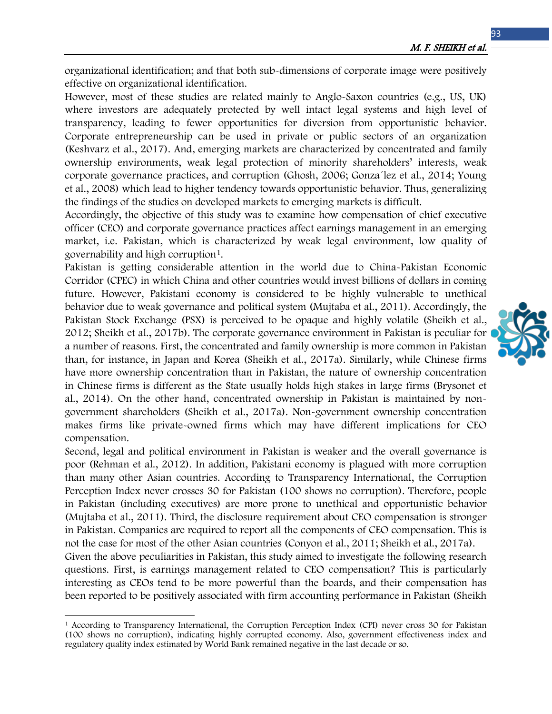organizational identification; and that both sub-dimensions of corporate image were positively effective on organizational identification.

However, most of these studies are related mainly to Anglo-Saxon countries (e.g., US, UK) where investors are adequately protected by well intact legal systems and high level of transparency, leading to fewer opportunities for diversion from opportunistic behavior. Corporate entrepreneurship can be used in private or public sectors of an organization (Keshvarz et al., 2017). And, emerging markets are characterized by concentrated and family ownership environments, weak legal protection of minority shareholders' interests, weak corporate governance practices, and corruption (Ghosh, 2006; Gonza´lez et al., 2014; Young et al., 2008) which lead to higher tendency towards opportunistic behavior. Thus, generalizing the findings of the studies on developed markets to emerging markets is difficult.

Accordingly, the objective of this study was to examine how compensation of chief executive officer (CEO) and corporate governance practices affect earnings management in an emerging market, i.e. Pakistan, which is characterized by weak legal environment, low quality of governability and high corruption[1.](#page-1-0)

Pakistan is getting considerable attention in the world due to China-Pakistan Economic Corridor (CPEC) in which China and other countries would invest billions of dollars in coming future. However, Pakistani economy is considered to be highly vulnerable to unethical behavior due to weak governance and political system (Mujtaba et al., 2011). Accordingly, the Pakistan Stock Exchange (PSX) is perceived to be opaque and highly volatile (Sheikh et al., 2012; Sheikh et al., 2017b). The corporate governance environment in Pakistan is peculiar for a number of reasons. First, the concentrated and family ownership is more common in Pakistan than, for instance, in Japan and Korea (Sheikh et al., 2017a). Similarly, while Chinese firms have more ownership concentration than in Pakistan, the nature of ownership concentration in Chinese firms is different as the State usually holds high stakes in large firms (Brysonet et al., 2014). On the other hand, concentrated ownership in Pakistan is maintained by nongovernment shareholders (Sheikh et al., 2017a). Non-government ownership concentration makes firms like private-owned firms which may have different implications for CEO compensation.

Second, legal and political environment in Pakistan is weaker and the overall governance is poor (Rehman et al., 2012). In addition, Pakistani economy is plagued with more corruption than many other Asian countries. According to Transparency International, the Corruption Perception Index never crosses 30 for Pakistan (100 shows no corruption). Therefore, people in Pakistan (including executives) are more prone to unethical and opportunistic behavior (Mujtaba et al., 2011). Third, the disclosure requirement about CEO compensation is stronger in Pakistan. Companies are required to report all the components of CEO compensation. This is not the case for most of the other Asian countries (Conyon et al., 2011; Sheikh et al., 2017a).

Given the above peculiarities in Pakistan, this study aimed to investigate the following research questions. First, is earnings management related to CEO compensation? This is particularly interesting as CEOs tend to be more powerful than the boards, and their compensation has been reported to be positively associated with firm accounting performance in Pakistan (Sheikh



<span id="page-1-0"></span> $\overline{\phantom{a}}$ <sup>1</sup> According to Transparency International, the Corruption Perception Index (CPI) never cross 30 for Pakistan (100 shows no corruption), indicating highly corrupted economy. Also, government effectiveness index and regulatory quality index estimated by World Bank remained negative in the last decade or so.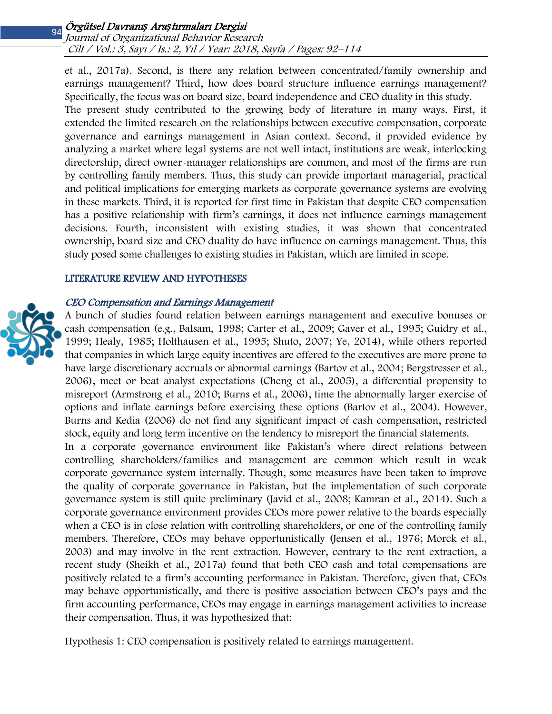## Journal of Organizational Behavior Research Cilt / Vol.: 3, Sayı / Is.: 2, Yıl / Year: 2018, Sayfa / Pages: 92–114

et al., 2017a). Second, is there any relation between concentrated/family ownership and earnings management? Third, how does board structure influence earnings management? Specifically, the focus was on board size, board independence and CEO duality in this study.

The present study contributed to the growing body of literature in many ways. First, it extended the limited research on the relationships between executive compensation, corporate governance and earnings management in Asian context. Second, it provided evidence by analyzing a market where legal systems are not well intact, institutions are weak, interlocking directorship, direct owner-manager relationships are common, and most of the firms are run by controlling family members. Thus, this study can provide important managerial, practical and political implications for emerging markets as corporate governance systems are evolving in these markets. Third, it is reported for first time in Pakistan that despite CEO compensation has a positive relationship with firm's earnings, it does not influence earnings management decisions. Fourth, inconsistent with existing studies, it was shown that concentrated ownership, board size and CEO duality do have influence on earnings management. Thus, this study posed some challenges to existing studies in Pakistan, which are limited in scope.

#### LITERATURE REVIEW AND HYPOTHESES

#### CEO Compensation and Earnings Management



94

A bunch of studies found relation between earnings management and executive bonuses or cash compensation (e.g., Balsam, 1998; Carter et al., 2009; Gaver et al., 1995; Guidry et al., 1999; Healy, 1985; Holthausen et al., 1995; Shuto, 2007; Ye, 2014), while others reported that companies in which large equity incentives are offered to the executives are more prone to have large discretionary accruals or abnormal earnings (Bartov et al., 2004; Bergstresser et al., 2006), meet or beat analyst expectations (Cheng et al., 2005), a differential propensity to misreport (Armstrong et al., 2010; Burns et al., 2006), time the abnormally larger exercise of options and inflate earnings before exercising these options (Bartov et al., 2004). However, Burns and Kedia (2006) do not find any significant impact of cash compensation, restricted stock, equity and long term incentive on the tendency to misreport the financial statements.

In a corporate governance environment like Pakistan's where direct relations between controlling shareholders/families and management are common which result in weak corporate governance system internally. Though, some measures have been taken to improve the quality of corporate governance in Pakistan, but the implementation of such corporate governance system is still quite preliminary (Javid et al., 2008; Kamran et al., 2014). Such a corporate governance environment provides CEOs more power relative to the boards especially when a CEO is in close relation with controlling shareholders, or one of the controlling family members. Therefore, CEOs may behave opportunistically (Jensen et al., 1976; Morck et al., 2003) and may involve in the rent extraction. However, contrary to the rent extraction, a recent study (Sheikh et al., 2017a) found that both CEO cash and total compensations are positively related to a firm's accounting performance in Pakistan. Therefore, given that, CEOs may behave opportunistically, and there is positive association between CEO's pays and the firm accounting performance, CEOs may engage in earnings management activities to increase their compensation. Thus, it was hypothesized that:

Hypothesis 1: CEO compensation is positively related to earnings management.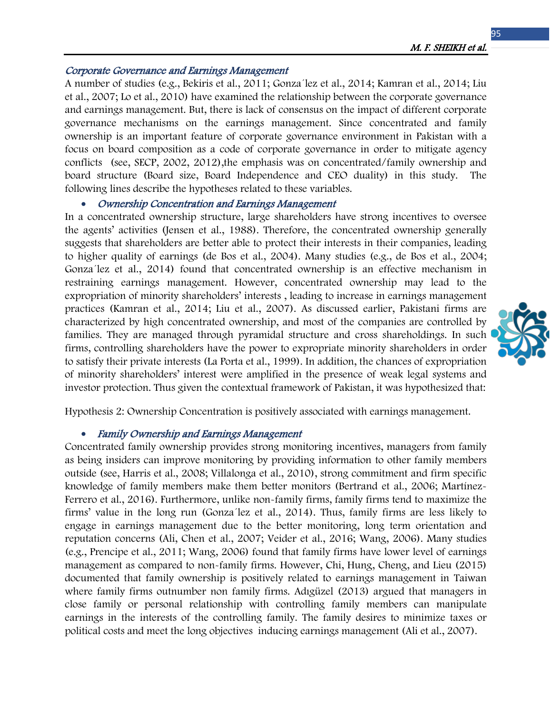## Corporate Governance and Earnings Management

A number of studies (e.g., Bekiris et al., 2011; Gonza´lez et al., 2014; Kamran et al., 2014; Liu et al., 2007; Lo et al., 2010) have examined the relationship between the corporate governance and earnings management. But, there is lack of consensus on the impact of different corporate governance mechanisms on the earnings management. Since concentrated and family ownership is an important feature of corporate governance environment in Pakistan with a focus on board composition as a code of corporate governance in order to mitigate agency conflicts (see, SECP, 2002, 2012),the emphasis was on concentrated/family ownership and board structure (Board size, Board Independence and CEO duality) in this study. The following lines describe the hypotheses related to these variables.

## • Ownership Concentration and Earnings Management

In a concentrated ownership structure, large shareholders have strong incentives to oversee the agents' activities (Jensen et al., 1988). Therefore, the concentrated ownership generally suggests that shareholders are better able to protect their interests in their companies, leading to higher quality of earnings (de Bos et al., 2004). Many studies (e.g., de Bos et al., 2004; Gonza´lez et al., 2014) found that concentrated ownership is an effective mechanism in restraining earnings management. However, concentrated ownership may lead to the expropriation of minority shareholders' interests , leading to increase in earnings management practices (Kamran et al., 2014; Liu et al., 2007). As discussed earlier, Pakistani firms are characterized by high concentrated ownership, and most of the companies are controlled by families. They are managed through pyramidal structure and cross shareholdings. In such firms, controlling shareholders have the power to expropriate minority shareholders in order to satisfy their private interests (La Porta et al., 1999). In addition, the chances of expropriation of minority shareholders' interest were amplified in the presence of weak legal systems and investor protection. Thus given the contextual framework of Pakistan, it was hypothesized that:



## • Family Ownership and Earnings Management

Concentrated family ownership provides strong monitoring incentives, managers from family as being insiders can improve monitoring by providing information to other family members outside (see, Harris et al., 2008; Villalonga et al., 2010), strong commitment and firm specific knowledge of family members make them better monitors (Bertrand et al., 2006; Martínez-Ferrero et al., 2016). Furthermore, unlike non-family firms, family firms tend to maximize the firms' value in the long run (Gonza´lez et al., 2014). Thus, family firms are less likely to engage in earnings management due to the better monitoring, long term orientation and reputation concerns (Ali, Chen et al., 2007; Veider et al., 2016; Wang, 2006). Many studies (e.g., Prencipe et al., 2011; Wang, 2006) found that family firms have lower level of earnings management as compared to non-family firms. However, Chi, Hung, Cheng, and Lieu (2015) documented that family ownership is positively related to earnings management in Taiwan where family firms outnumber non family firms. Adıgüzel (2013) argued that managers in close family or personal relationship with controlling family members can manipulate earnings in the interests of the controlling family. The family desires to minimize taxes or political costs and meet the long objectives inducing earnings management (Ali et al., 2007).

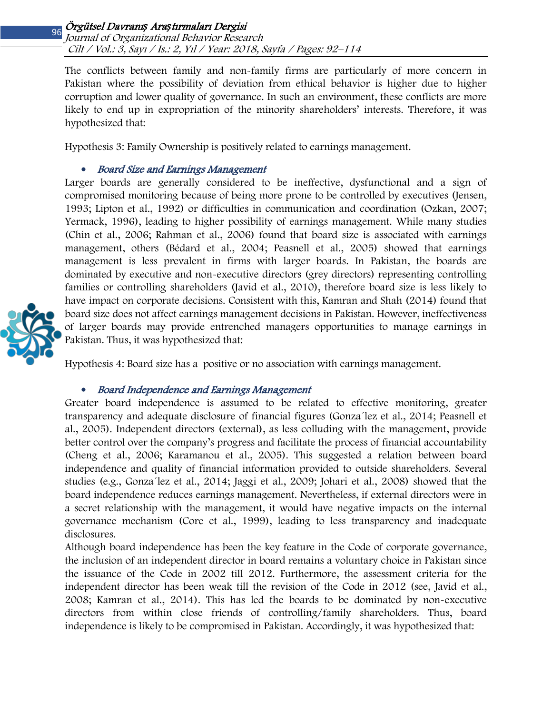The conflicts between family and non-family firms are particularly of more concern in Pakistan where the possibility of deviation from ethical behavior is higher due to higher corruption and lower quality of governance. In such an environment, these conflicts are more likely to end up in expropriation of the minority shareholders' interests. Therefore, it was hypothesized that:

Hypothesis 3: Family Ownership is positively related to earnings management.

# • Board Size and Earnings Management

Larger boards are generally considered to be ineffective, dysfunctional and a sign of compromised monitoring because of being more prone to be controlled by executives (Jensen, 1993; Lipton et al., 1992) or difficulties in communication and coordination (Ozkan, 2007; Yermack, 1996), leading to higher possibility of earnings management. While many studies (Chin et al., 2006; Rahman et al., 2006) found that board size is associated with earnings management, others (Bédard et al., 2004; Peasnell et al., 2005) showed that earnings management is less prevalent in firms with larger boards. In Pakistan, the boards are dominated by executive and non-executive directors (grey directors) representing controlling families or controlling shareholders (Javid et al., 2010), therefore board size is less likely to have impact on corporate decisions. Consistent with this, Kamran and Shah (2014) found that board size does not affect earnings management decisions in Pakistan. However, ineffectiveness of larger boards may provide entrenched managers opportunities to manage earnings in Pakistan. Thus, it was hypothesized that:



Hypothesis 4: Board size has a positive or no association with earnings management.

## • Board Independence and Earnings Management

Greater board independence is assumed to be related to effective monitoring, greater transparency and adequate disclosure of financial figures (Gonza´lez et al., 2014; Peasnell et al., 2005). Independent directors (external), as less colluding with the management, provide better control over the company's progress and facilitate the process of financial accountability (Cheng et al., 2006; Karamanou et al., 2005). This suggested a relation between board independence and quality of financial information provided to outside shareholders. Several studies (e.g., Gonza´lez et al., 2014; Jaggi et al., 2009; Johari et al., 2008) showed that the board independence reduces earnings management. Nevertheless, if external directors were in a secret relationship with the management, it would have negative impacts on the internal governance mechanism (Core et al., 1999), leading to less transparency and inadequate disclosures.

Although board independence has been the key feature in the Code of corporate governance, the inclusion of an independent director in board remains a voluntary choice in Pakistan since the issuance of the Code in 2002 till 2012. Furthermore, the assessment criteria for the independent director has been weak till the revision of the Code in 2012 (see, Javid et al., 2008; Kamran et al., 2014). This has led the boards to be dominated by non-executive directors from within close friends of controlling/family shareholders. Thus, board independence is likely to be compromised in Pakistan. Accordingly, it was hypothesized that: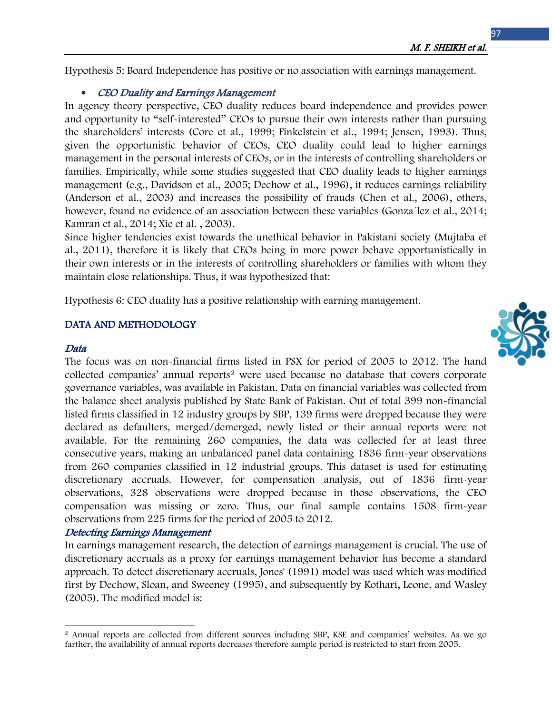Hypothesis 5: Board Independence has positive or no association with earnings management.

## • CEO Duality and Earnings Management

In agency theory perspective, CEO duality reduces board independence and provides power and opportunity to "self-interested" CEOs to pursue their own interests rather than pursuing the shareholders' interests (Core et al., 1999; Finkelstein et al., 1994; Jensen, 1993). Thus, given the opportunistic behavior of CEOs, CEO duality could lead to higher earnings management in the personal interests of CEOs, or in the interests of controlling shareholders or families. Empirically, while some studies suggested that CEO duality leads to higher earnings management (e.g., Davidson et al., 2005; Dechow et al., 1996), it reduces earnings reliability (Anderson et al., 2003) and increases the possibility of frauds (Chen et al., 2006), others, however, found no evidence of an association between these variables (Gonza<sup>-</sup>lez et al., 2014; Kamran et al., 2014; Xie et al. , 2003).

Since higher tendencies exist towards the unethical behavior in Pakistani society (Mujtaba et al., 2011), therefore it is likely that CEOs being in more power behave opportunistically in their own interests or in the interests of controlling shareholders or families with whom they maintain close relationships. Thus, it was hypothesized that:

Hypothesis 6: CEO duality has a positive relationship with earning management.

# DATA AND METHODOLOGY

#### Data

The focus was on non-financial firms listed in PSX for period of 2005 to 2012. The hand collected companies' annual reports[2](#page-5-0) were used because no database that covers corporate governance variables, was available in Pakistan. Data on financial variables was collected from the balance sheet analysis published by State Bank of Pakistan. Out of total 399 non-financial listed firms classified in 12 industry groups by SBP, 139 firms were dropped because they were declared as defaulters, merged/demerged, newly listed or their annual reports were not available. For the remaining 260 companies, the data was collected for at least three consecutive years, making an unbalanced panel data containing 1836 firm-year observations from 260 companies classified in 12 industrial groups. This dataset is used for estimating discretionary accruals. However, for compensation analysis, out of 1836 firm-year observations, 328 observations were dropped because in those observations, the CEO compensation was missing or zero. Thus, our final sample contains 1508 firm-year observations from 225 firms for the period of 2005 to 2012.

## Detecting Earnings Management

In earnings management research, the detection of earnings management is crucial. The use of discretionary accruals as a proxy for earnings management behavior has become a standard approach. To detect discretionary accruals, Jones' (1991) model was used which was modified first by Dechow, Sloan, and Sweeney (1995), and subsequently by Kothari, Leone, and Wasley (2005). The modified model is:



<span id="page-5-0"></span> $\overline{\phantom{a}}$ <sup>2</sup> Annual reports are collected from different sources including SBP, KSE and companies' websites. As we go farther, the availability of annual reports decreases therefore sample period is restricted to start from 2005.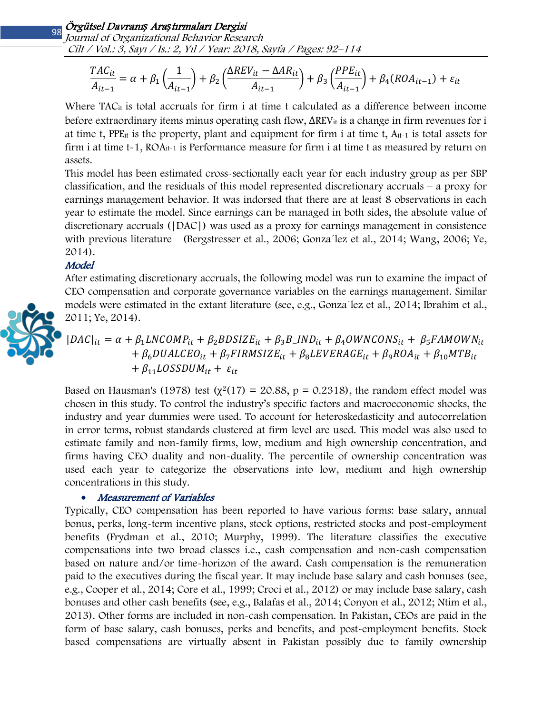Journal of Organizational Behavior Research Cilt / Vol.: 3, Sayı / Is.: 2, Yıl / Year: 2018, Sayfa / Pages: 92–114

$$
\frac{TAC_{it}}{A_{it-1}} = \alpha + \beta_1 \left(\frac{1}{A_{it-1}}\right) + \beta_2 \left(\frac{\Delta REV_{it} - \Delta AR_{it}}{A_{it-1}}\right) + \beta_3 \left(\frac{PPE_{it}}{A_{it-1}}\right) + \beta_4 (ROA_{it-1}) + \varepsilon_{it}
$$

Where TAC<sub>it</sub> is total accruals for firm i at time t calculated as a difference between income before extraordinary items minus operating cash flow, ΔREVit is a change in firm revenues for i at time t, PPEit is the property, plant and equipment for firm i at time t, Ait-<sup>1</sup> is total assets for firm i at time t-1, ROAit-<sup>1</sup> is Performance measure for firm i at time t as measured by return on assets.

This model has been estimated cross-sectionally each year for each industry group as per SBP classification, and the residuals of this model represented discretionary accruals – a proxy for earnings management behavior. It was indorsed that there are at least 8 observations in each year to estimate the model. Since earnings can be managed in both sides, the absolute value of discretionary accruals (|DAC|) was used as a proxy for earnings management in consistence with previous literature (Bergstresser et al., 2006; Gonza´lez et al., 2014; Wang, 2006; Ye, 2014).

#### **Model**

98

After estimating discretionary accruals, the following model was run to examine the impact of CEO compensation and corporate governance variables on the earnings management. Similar models were estimated in the extant literature (see, e.g., Gonza´lez et al., 2014; Ibrahim et al., 2011; Ye, 2014).

 $|DAC|_{it} = \alpha + \beta_1 L NCOMP_{it} + \beta_2 BDSIZE_{it} + \beta_3 B_NID_{it} + \beta_4 OWNCONS_{it} + \beta_5 FAMOWN_{it}$ +  $\beta_6 DUALceO_{it} + \beta_7 FIRMSIZE_{it} + \beta_8 LEVERAGE_{it} + \beta_9 ROA_{it} + \beta_{10} MTB_{it}$  $+ \beta_{11}$  LOSSDUM<sub>it</sub> +  $\varepsilon_{it}$ 

Based on Hausman's (1978) test ( $\chi^2(17) = 20.88$ ,  $p = 0.2318$ ), the random effect model was chosen in this study. To control the industry's specific factors and macroeconomic shocks, the industry and year dummies were used. To account for heteroskedasticity and autocorrelation in error terms, robust standards clustered at firm level are used. This model was also used to estimate family and non-family firms, low, medium and high ownership concentration, and firms having CEO duality and non-duality. The percentile of ownership concentration was used each year to categorize the observations into low, medium and high ownership concentrations in this study.

#### • Measurement of Variables

Typically, CEO compensation has been reported to have various forms: base salary, annual bonus, perks, long-term incentive plans, stock options, restricted stocks and post-employment benefits (Frydman et al., 2010; Murphy, 1999). The literature classifies the executive compensations into two broad classes i.e., cash compensation and non-cash compensation based on nature and/or time-horizon of the award. Cash compensation is the remuneration paid to the executives during the fiscal year. It may include base salary and cash bonuses (see, e.g., Cooper et al., 2014; Core et al., 1999; Croci et al., 2012) or may include base salary, cash bonuses and other cash benefits (see, e.g., Balafas et al., 2014; Conyon et al., 2012; Ntim et al., 2013). Other forms are included in non-cash compensation. In Pakistan, CEOs are paid in the form of base salary, cash bonuses, perks and benefits, and post-employment benefits. Stock based compensations are virtually absent in Pakistan possibly due to family ownership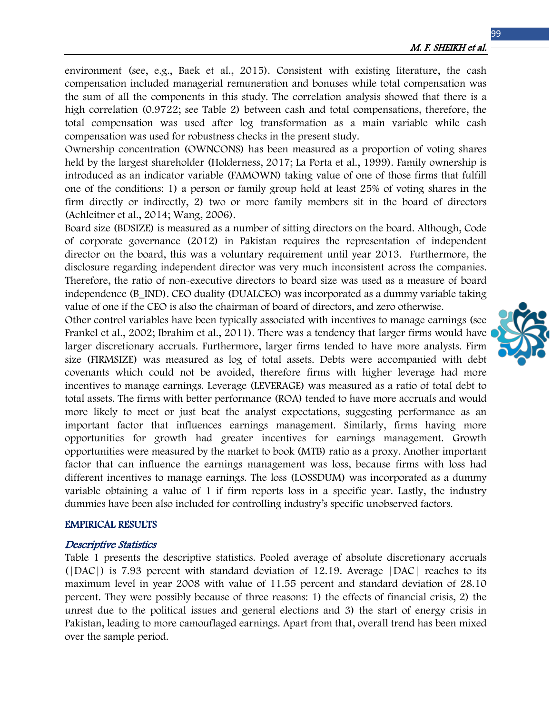environment (see, e.g., Baek et al., 2015). Consistent with existing literature, the cash compensation included managerial remuneration and bonuses while total compensation was the sum of all the components in this study. The correlation analysis showed that there is a high correlation (0.9722; see Table 2) between cash and total compensations, therefore, the total compensation was used after log transformation as a main variable while cash compensation was used for robustness checks in the present study.

Ownership concentration (OWNCONS) has been measured as a proportion of voting shares held by the largest shareholder (Holderness, 2017; La Porta et al., 1999). Family ownership is introduced as an indicator variable (FAMOWN) taking value of one of those firms that fulfill one of the conditions: 1) a person or family group hold at least 25% of voting shares in the firm directly or indirectly, 2) two or more family members sit in the board of directors (Achleitner et al., 2014; Wang, 2006).

Board size (BDSIZE) is measured as a number of sitting directors on the board. Although, Code of corporate governance (2012) in Pakistan requires the representation of independent director on the board, this was a voluntary requirement until year 2013. Furthermore, the disclosure regarding independent director was very much inconsistent across the companies. Therefore, the ratio of non-executive directors to board size was used as a measure of board independence (B\_IND). CEO duality (DUALCEO) was incorporated as a dummy variable taking value of one if the CEO is also the chairman of board of directors, and zero otherwise.

Other control variables have been typically associated with incentives to manage earnings (see Frankel et al., 2002; Ibrahim et al., 2011). There was a tendency that larger firms would have larger discretionary accruals. Furthermore, larger firms tended to have more analysts. Firm size (FIRMSIZE) was measured as log of total assets. Debts were accompanied with debt covenants which could not be avoided, therefore firms with higher leverage had more incentives to manage earnings. Leverage (LEVERAGE) was measured as a ratio of total debt to total assets. The firms with better performance (ROA) tended to have more accruals and would more likely to meet or just beat the analyst expectations, suggesting performance as an important factor that influences earnings management. Similarly, firms having more opportunities for growth had greater incentives for earnings management. Growth opportunities were measured by the market to book (MTB) ratio as a proxy. Another important factor that can influence the earnings management was loss, because firms with loss had different incentives to manage earnings. The loss (LOSSDUM) was incorporated as a dummy variable obtaining a value of 1 if firm reports loss in a specific year. Lastly, the industry dummies have been also included for controlling industry's specific unobserved factors.

## EMPIRICAL RESULTS

#### Descriptive Statistics

Table 1 presents the descriptive statistics. Pooled average of absolute discretionary accruals (|DAC|) is 7.93 percent with standard deviation of 12.19. Average |DAC| reaches to its maximum level in year 2008 with value of 11.55 percent and standard deviation of 28.10 percent. They were possibly because of three reasons: 1) the effects of financial crisis, 2) the unrest due to the political issues and general elections and 3) the start of energy crisis in Pakistan, leading to more camouflaged earnings. Apart from that, overall trend has been mixed over the sample period.

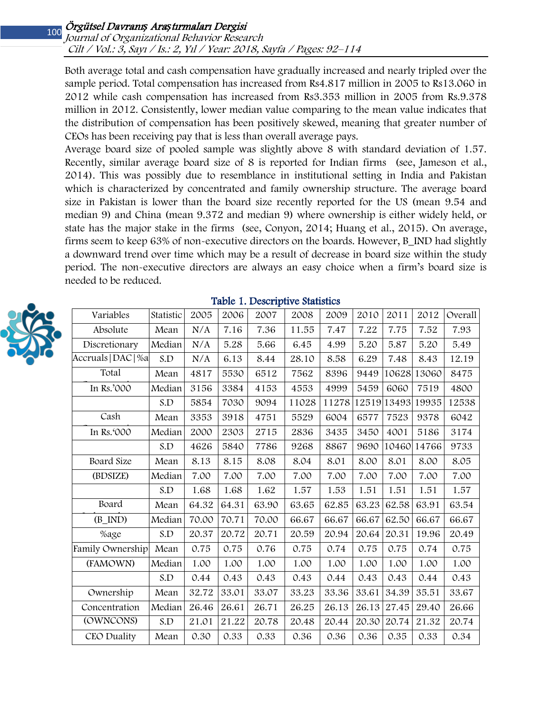## Journal of Organizational Behavior Research Cilt / Vol.: 3, Sayı / Is.: 2, Yıl / Year: 2018, Sayfa / Pages: 92–114

Both average total and cash compensation have gradually increased and nearly tripled over the sample period. Total compensation has increased from Rs4.817 million in 2005 to Rs13.060 in 2012 while cash compensation has increased from Rs3.353 million in 2005 from Rs.9.378 million in 2012. Consistently, lower median value comparing to the mean value indicates that the distribution of compensation has been positively skewed, meaning that greater number of CEOs has been receiving pay that is less than overall average pays.

Average board size of pooled sample was slightly above 8 with standard deviation of 1.57. Recently, similar average board size of 8 is reported for Indian firms (see, Jameson et al., 2014). This was possibly due to resemblance in institutional setting in India and Pakistan which is characterized by concentrated and family ownership structure. The average board size in Pakistan is lower than the board size recently reported for the US (mean 9.54 and median 9) and China (mean 9.372 and median 9) where ownership is either widely held, or state has the major stake in the firms (see, Conyon, 2014; Huang et al., 2015). On average, firms seem to keep 63% of non-executive directors on the boards. However, B\_IND had slightly a downward trend over time which may be a result of decrease in board size within the study period. The non-executive directors are always an easy choice when a firm's board size is needed to be reduced.



| Variables           | Statistic | 2005  | 2006  | 2007  | 2008  | 2009  | 2010  | 2011        | 2012  | Overall |
|---------------------|-----------|-------|-------|-------|-------|-------|-------|-------------|-------|---------|
| Absolute            | Mean      | N/A   | 7.16  | 7.36  | 11.55 | 7.47  | 7.22  | 7.75        | 7.52  | 7.93    |
| Discretionary       | Median    | N/A   | 5.28  | 5.66  | 6.45  | 4.99  | 5.20  | 5.87        | 5.20  | 5.49    |
| Accruals   DAC   %a | S.D       | N/A   | 6.13  | 8.44  | 28.10 | 8.58  | 6.29  | 7.48        | 8.43  | 12.19   |
| Total               | Mean      | 4817  | 5530  | 6512  | 7562  | 8396  | 9449  | 10628       | 13060 | 8475    |
| In Rs.'000          | Median    | 3156  | 3384  | 4153  | 4553  | 4999  | 5459  | 6060        | 7519  | 4800    |
|                     | S.D       | 5854  | 7030  | 9094  | 11028 | 11278 |       | 12519 13493 | 19935 | 12538   |
| Cash                | Mean      | 3353  | 3918  | 4751  | 5529  | 6004  | 6577  | 7523        | 9378  | 6042    |
| In Rs. 000          | Median    | 2000  | 2303  | 2715  | 2836  | 3435  | 3450  | 4001        | 5186  | 3174    |
|                     | S.D       | 4626  | 5840  | 7786  | 9268  | 8867  | 9690  | 10460       | 14766 | 9733    |
| Board Size          | Mean      | 8.13  | 8.15  | 8.08  | 8.04  | 8.01  | 8.00  | 8.01        | 8.00  | 8.05    |
| (BDSIZE)            | Median    | 7.00  | 7.00  | 7.00  | 7.00  | 7.00  | 7.00  | 7.00        | 7.00  | 7.00    |
|                     | S.D       | 1.68  | 1.68  | 1.62  | 1.57  | 1.53  | 1.51  | 1.51        | 1.51  | 1.57    |
| Board               | Mean      | 64.32 | 64.31 | 63.90 | 63.65 | 62.85 | 63.23 | 62.58       | 63.91 | 63.54   |
| (B IND)             | Median    | 70.00 | 70.71 | 70.00 | 66.67 | 66.67 | 66.67 | 62.50       | 66.67 | 66.67   |
| %age                | S.D       | 20.37 | 20.72 | 20.71 | 20.59 | 20.94 | 20.64 | 20.31       | 19.96 | 20.49   |
| Family Ownership    | Mean      | 0.75  | 0.75  | 0.76  | 0.75  | 0.74  | 0.75  | 0.75        | 0.74  | 0.75    |
| (FAMOWN)            | Median    | 1.00  | 1.00  | 1.00  | 1.00  | 1.00  | 1.00  | 1.00        | 1.00  | 1.00    |
|                     | S.D       | 0.44  | 0.43  | 0.43  | 0.43  | 0.44  | 0.43  | 0.43        | 0.44  | 0.43    |
| Ownership           | Mean      | 32.72 | 33.01 | 33.07 | 33.23 | 33.36 | 33.61 | 34.39       | 35.51 | 33.67   |
| Concentration       | Median    | 26.46 | 26.61 | 26.71 | 26.25 | 26.13 | 26.13 | 27.45       | 29.40 | 26.66   |
| (OWNCONS)           | S.D       | 21.01 | 21.22 | 20.78 | 20.48 | 20.44 | 20.30 | 20.74       | 21.32 | 20.74   |
| CEO Duality         | Mean      | 0.30  | 0.33  | 0.33  | 0.36  | 0.36  | 0.36  | 0.35        | 0.33  | 0.34    |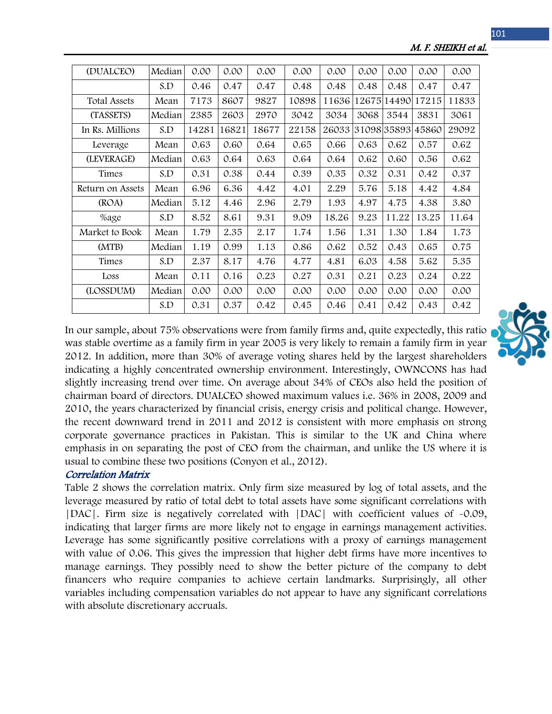| (DUALCEO)        | Median | 0.00  | 0.00  | 0.00  | 0.00  | 0.00  | 0.00  | 0.00  | 0.00            | 0.00  |
|------------------|--------|-------|-------|-------|-------|-------|-------|-------|-----------------|-------|
|                  | S.D    | 0.46  | 0.47  | 0.47  | 0.48  | 0.48  | 0.48  | 0.48  | 0.47            | 0.47  |
| Total Assets     | Mean   | 7173  | 8607  | 9827  | 10898 | 11636 | 12675 |       | 14490 17215     | 11833 |
| (TASSETS)        | Median | 2385  | 2603  | 2970  | 3042  | 3034  | 3068  | 3544  | 3831            | 3061  |
| In Rs. Millions  | S.D    | 14281 | 16821 | 18677 | 22158 | 26033 |       |       | 310983589345860 | 29092 |
| Leverage         | Mean   | 0.63  | 0.60  | 0.64  | 0.65  | 0.66  | 0.63  | 0.62  | 0.57            | 0.62  |
| (LEVERAGE)       | Median | 0.63  | 0.64  | 0.63  | 0.64  | 0.64  | 0.62  | 0.60  | 0.56            | 0.62  |
| Times            | S.D    | 0.31  | 0.38  | 0.44  | 0.39  | 0.35  | 0.32  | 0.31  | 0.42            | 0.37  |
| Return on Assets | Mean   | 6.96  | 6.36  | 4.42  | 4.01  | 2.29  | 5.76  | 5.18  | 4.42            | 4.84  |
| (ROA)            | Median | 5.12  | 4.46  | 2.96  | 2.79  | 1.93  | 4.97  | 4.75  | 4.38            | 3.80  |
| %age             | S.D    | 8.52  | 8.61  | 9.31  | 9.09  | 18.26 | 9.23  | 11.22 | 13.25           | 11.64 |
| Market to Book   | Mean   | 1.79  | 2.35  | 2.17  | 1.74  | 1.56  | 1.31  | 1.30  | 1.84            | 1.73  |
| (MTB)            | Median | 1.19  | 0.99  | 1.13  | 0.86  | 0.62  | 0.52  | 0.43  | 0.65            | 0.75  |
| Times            | S.D    | 2.37  | 8.17  | 4.76  | 4.77  | 4.81  | 6.03  | 4.58  | 5.62            | 5.35  |
| Loss             | Mean   | 0.11  | 0.16  | 0.23  | 0.27  | 0.31  | 0.21  | 0.23  | 0.24            | 0.22  |
| (LOSSDUM)        | Median | 0.00  | 0.00  | 0.00  | 0.00  | 0.00  | 0.00  | 0.00  | 0.00            | 0.00  |
|                  | S.D    | 0.31  | 0.37  | 0.42  | 0.45  | 0.46  | 0.41  | 0.42  | 0.43            | 0.42  |

In our sample, about 75% observations were from family firms and, quite expectedly, this ratio was stable overtime as a family firm in year 2005 is very likely to remain a family firm in year 2012. In addition, more than 30% of average voting shares held by the largest shareholders indicating a highly concentrated ownership environment. Interestingly, OWNCONS has had slightly increasing trend over time. On average about 34% of CEOs also held the position of chairman board of directors. DUALCEO showed maximum values i.e. 36% in 2008, 2009 and 2010, the years characterized by financial crisis, energy crisis and political change. However, the recent downward trend in 2011 and 2012 is consistent with more emphasis on strong corporate governance practices in Pakistan. This is similar to the UK and China where emphasis in on separating the post of CEO from the chairman, and unlike the US where it is usual to combine these two positions (Conyon et al., 2012).

## Correlation Matrix

Table 2 shows the correlation matrix. Only firm size measured by log of total assets, and the leverage measured by ratio of total debt to total assets have some significant correlations with |DAC|. Firm size is negatively correlated with |DAC| with coefficient values of -0.09, indicating that larger firms are more likely not to engage in earnings management activities. Leverage has some significantly positive correlations with a proxy of earnings management with value of 0.06. This gives the impression that higher debt firms have more incentives to manage earnings. They possibly need to show the better picture of the company to debt financers who require companies to achieve certain landmarks. Surprisingly, all other variables including compensation variables do not appear to have any significant correlations with absolute discretionary accruals.

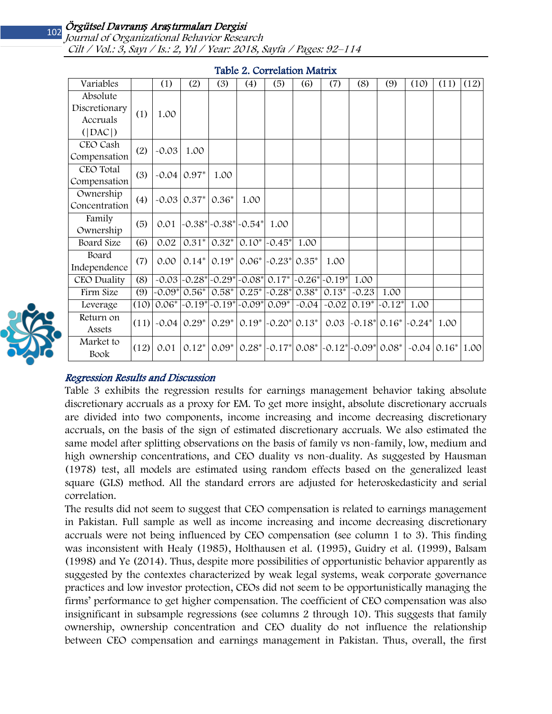Journal of Organizational Behavior Research Cilt / Vol.: 3, Sayı / Is.: 2, Yıl / Year: 2018, Sayfa / Pages: 92–114

| Tapič 2. Correlation ividu ix                             |      |          |         |                                                                                    |         |                                                                                                        |         |                 |         |                             |          |                    |      |
|-----------------------------------------------------------|------|----------|---------|------------------------------------------------------------------------------------|---------|--------------------------------------------------------------------------------------------------------|---------|-----------------|---------|-----------------------------|----------|--------------------|------|
| Variables                                                 |      | (1)      | (2)     | (3)                                                                                | (4)     | (5)                                                                                                    | (6)     | (7)             | (8)     | (9)                         | (10)     | (11)               | (12) |
| Absolute<br>Discretionary<br>Accruals<br>$( \text{DAC} )$ | (1)  | 1.00     |         |                                                                                    |         |                                                                                                        |         |                 |         |                             |          |                    |      |
| CEO Cash<br>Compensation                                  | (2)  | $-0.03$  | 1.00    |                                                                                    |         |                                                                                                        |         |                 |         |                             |          |                    |      |
| CEO Total<br>Compensation                                 | (3)  | $-0.04$  | $0.97*$ | 1.00                                                                               |         |                                                                                                        |         |                 |         |                             |          |                    |      |
| Ownership<br>Concentration                                | (4)  | $-0.03$  | $0.37*$ | $0.36*$                                                                            | 1.00    |                                                                                                        |         |                 |         |                             |          |                    |      |
| Family<br>Ownership                                       | (5)  | 0.01     |         | $-0.38^*$ $-0.38^*$ $-0.54^*$                                                      |         | 1.00                                                                                                   |         |                 |         |                             |          |                    |      |
| Board Size                                                | (6)  | 0.02     | $0.31*$ | $0.32*$                                                                            | $0.10*$ | $-0.45*$                                                                                               | 1.00    |                 |         |                             |          |                    |      |
| Board<br>Independence                                     | (7)  | 0.00     | $0.14*$ | $0.19*$                                                                            | $0.06*$ | $-0.23$ <sup>*</sup> 0.35 <sup>*</sup>                                                                 |         | 1.00            |         |                             |          |                    |      |
| CEO Duality                                               | (8)  |          |         |                                                                                    |         | $-0.03$ $-0.28$ <sup>*</sup> $-0.29$ <sup>*</sup> $-0.08$ <sup>*</sup> $\mid 0.17$ <sup>*</sup> $\mid$ |         | $-0.26* -0.19*$ | 1.00    |                             |          |                    |      |
| Firm Size                                                 | (9)  | $-0.09*$ | $0.56*$ | $0.58*$                                                                            | $0.25*$ | $-0.28*$                                                                                               | $0.38*$ | $0.13*$         | $-0.23$ | 1.00                        |          |                    |      |
| Leverage                                                  | (10) | $0.06*$  |         | $-0.19$ <sup>*</sup> $-0.19$ <sup>*</sup> $-0.09$ <sup>*</sup> $0.09$ <sup>*</sup> |         |                                                                                                        | $-0.04$ | $-0.02$         | $0.19*$ | $-0.12*$                    | 1.00     |                    |      |
| Return on<br>Assets                                       | (11) | $-0.04$  | $0.29*$ | $0.29*$                                                                            |         | $0.19*$ -0.20* 0.13*                                                                                   |         | 0.03            |         | $-0.18^*$ 0.16 <sup>*</sup> | $-0.24*$ | 1.00               |      |
| Market to<br>Book                                         | (12) | 0.01     | $0.12*$ | $0.09*$                                                                            | $0.28*$ | $\sim$ 0.17* 0.08* $\sim$ 0.12* $\sim$ 0.09* 0.08*                                                     |         |                 |         |                             |          | $-0.04$ 0.16* 1.00 |      |

## Table 2. Correlation Matrix

## Regression Results and Discussion

Table 3 exhibits the regression results for earnings management behavior taking absolute discretionary accruals as a proxy for EM. To get more insight, absolute discretionary accruals are divided into two components, income increasing and income decreasing discretionary accruals, on the basis of the sign of estimated discretionary accruals. We also estimated the same model after splitting observations on the basis of family vs non-family, low, medium and high ownership concentrations, and CEO duality vs non-duality. As suggested by Hausman (1978) test, all models are estimated using random effects based on the generalized least square (GLS) method. All the standard errors are adjusted for heteroskedasticity and serial correlation.

The results did not seem to suggest that CEO compensation is related to earnings management in Pakistan. Full sample as well as income increasing and income decreasing discretionary accruals were not being influenced by CEO compensation (see column 1 to 3). This finding was inconsistent with Healy (1985), Holthausen et al. (1995), Guidry et al. (1999), Balsam (1998) and Ye (2014). Thus, despite more possibilities of opportunistic behavior apparently as suggested by the contextes characterized by weak legal systems, weak corporate governance practices and low investor protection, CEOs did not seem to be opportunistically managing the firms' performance to get higher compensation. The coefficient of CEO compensation was also insignificant in subsample regressions (see columns 2 through 10). This suggests that family ownership, ownership concentration and CEO duality do not influence the relationship between CEO compensation and earnings management in Pakistan. Thus, overall, the first

102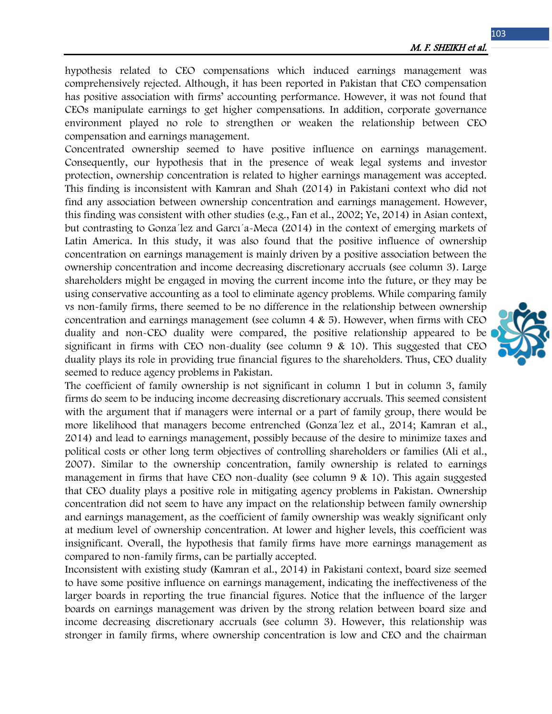hypothesis related to CEO compensations which induced earnings management was comprehensively rejected. Although, it has been reported in Pakistan that CEO compensation has positive association with firms' accounting performance. However, it was not found that CEOs manipulate earnings to get higher compensations. In addition, corporate governance environment played no role to strengthen or weaken the relationship between CEO compensation and earnings management.

Concentrated ownership seemed to have positive influence on earnings management. Consequently, our hypothesis that in the presence of weak legal systems and investor protection, ownership concentration is related to higher earnings management was accepted. This finding is inconsistent with Kamran and Shah (2014) in Pakistani context who did not find any association between ownership concentration and earnings management. However, this finding was consistent with other studies (e.g., Fan et al., 2002; Ye, 2014) in Asian context, but contrasting to Gonza´lez and Garcı´a-Meca (2014) in the context of emerging markets of Latin America. In this study, it was also found that the positive influence of ownership concentration on earnings management is mainly driven by a positive association between the ownership concentration and income decreasing discretionary accruals (see column 3). Large shareholders might be engaged in moving the current income into the future, or they may be using conservative accounting as a tool to eliminate agency problems. While comparing family vs non-family firms, there seemed to be no difference in the relationship between ownership concentration and earnings management (see column 4 & 5). However, when firms with CEO duality and non-CEO duality were compared, the positive relationship appeared to be significant in firms with CEO non-duality (see column  $9 \& 10$ ). This suggested that CEO duality plays its role in providing true financial figures to the shareholders. Thus, CEO duality seemed to reduce agency problems in Pakistan.

The coefficient of family ownership is not significant in column 1 but in column 3, family firms do seem to be inducing income decreasing discretionary accruals. This seemed consistent with the argument that if managers were internal or a part of family group, there would be more likelihood that managers become entrenched (Gonza´lez et al., 2014; Kamran et al., 2014) and lead to earnings management, possibly because of the desire to minimize taxes and political costs or other long term objectives of controlling shareholders or families (Ali et al., 2007). Similar to the ownership concentration, family ownership is related to earnings management in firms that have CEO non-duality (see column 9 & 10). This again suggested that CEO duality plays a positive role in mitigating agency problems in Pakistan. Ownership concentration did not seem to have any impact on the relationship between family ownership and earnings management, as the coefficient of family ownership was weakly significant only at medium level of ownership concentration. At lower and higher levels, this coefficient was insignificant. Overall, the hypothesis that family firms have more earnings management as compared to non-family firms, can be partially accepted.

Inconsistent with existing study (Kamran et al., 2014) in Pakistani context, board size seemed to have some positive influence on earnings management, indicating the ineffectiveness of the larger boards in reporting the true financial figures. Notice that the influence of the larger boards on earnings management was driven by the strong relation between board size and income decreasing discretionary accruals (see column 3). However, this relationship was stronger in family firms, where ownership concentration is low and CEO and the chairman

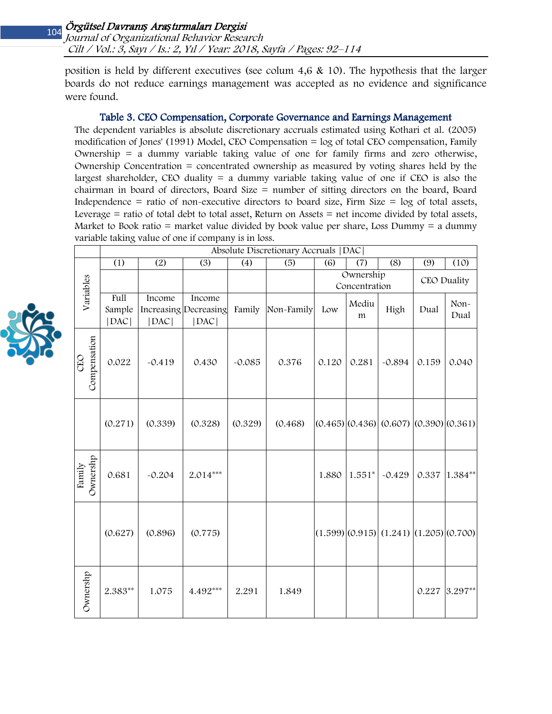position is held by different executives (see colum 4,6 & 10). The hypothesis that the larger boards do not reduce earnings management was accepted as no evidence and significance were found.

#### Table 3. CEO Compensation, Corporate Governance and Earnings Management

The dependent variables is absolute discretionary accruals estimated using Kothari et al. (2005) modification of Jones' (1991) Model, CEO Compensation = log of total CEO compensation, Family Ownership  $=$  a dummy variable taking value of one for family firms and zero otherwise, Ownership Concentration = concentrated ownership as measured by voting shares held by the largest shareholder, CEO duality  $=$  a dummy variable taking value of one if CEO is also the chairman in board of directors, Board Size = number of sitting directors on the board, Board Independence  $=$  ratio of non-executive directors to board size, Firm Size  $=$  log of total assets, Leverage = ratio of total debt to total asset, Return on Assets = net income divided by total assets, Market to Book ratio = market value divided by book value per share, Loss Dummy = a dummy variable taking value of one if company is in loss.

|                                     | Absolute Discretionary Accruals   DAC |                |                                         |          |                  |       |                            |                                     |       |              |
|-------------------------------------|---------------------------------------|----------------|-----------------------------------------|----------|------------------|-------|----------------------------|-------------------------------------|-------|--------------|
|                                     | (1)                                   | (2)            | $\overline{(3)}$                        | (4)      | $\overline{(5)}$ | (6)   | (7)                        | $\overline{(8)}$                    | (9)   | (10)         |
| Variables                           |                                       |                |                                         |          |                  |       | Ownership<br>Concentration |                                     |       | CEO Duality  |
|                                     | <b>Full</b><br>Sample<br>DAC          | Income<br> DAC | Income<br>Increasing Decreasing<br> DAC | Family   | Non-Family       | Low   | Mediu<br>m                 | High                                | Dual  | Non-<br>Dual |
| Compensation<br>CEO                 | 0.022                                 | $-0.419$       | 0.430                                   | $-0.085$ | 0.376            | 0.120 | 0.281                      | $-0.894$                            | 0.159 | 0.040        |
|                                     | (0.271)                               | (0.339)        | (0.328)                                 | (0.329)  | (0.468)          |       |                            | (0.465)(0.436)(0.607)(0.390)(0.361) |       |              |
| Ownershp<br>$\operatorname{Family}$ | 0.681                                 | $-0.204$       | 2.014***                                |          |                  | 1.880 | $1.551*$                   | $-0.429$                            | 0.337 | 1.384**      |
|                                     | (0.627)                               | (0.896)        | (0.775)                                 |          |                  |       |                            | (1.599)(0.915)(1.241)(1.205)(0.700) |       |              |
| Ownershp                            | 2.383**                               | 1.075          | 4.492***                                | 2.291    | 1.849            |       |                            |                                     | 0.227 | 3.297**      |



104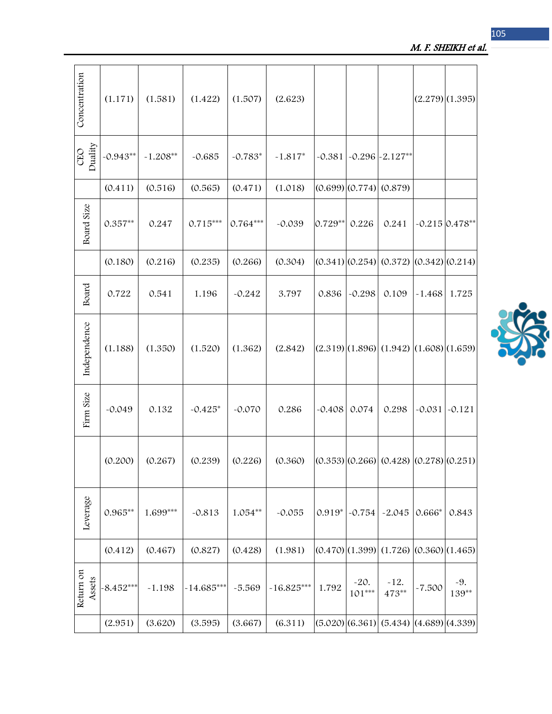M. F. SHEIKH et al.

| Concentration       | (1.171)     | (1.581)    | (1.422)      | (1.507)    | (2.623)      |           |                  |                                     |          | (2.279)(1.395)   |
|---------------------|-------------|------------|--------------|------------|--------------|-----------|------------------|-------------------------------------|----------|------------------|
| Duality<br>CEO      | $-0.943**$  | $-1.208**$ | $-0.685$     | $-0.783*$  | $-1.817*$    | $-0.381$  |                  | $-0.296 - 2.127**$                  |          |                  |
|                     | (0.411)     | (0.516)    | (0.565)      | (0.471)    | (1.018)      |           |                  | (0.699)(0.774)(0.879)               |          |                  |
| Board Size          | $0.357**$   | 0.247      | $0.715***$   | $0.764***$ | $-0.039$     | $0.729**$ | 0.226            | 0.241                               |          | $-0.215$ 0.478** |
|                     | (0.180)     | (0.216)    | (0.235)      | (0.266)    | (0.304)      |           | (0.341)(0.254)   | $(0.372)$ $(0.342)$ $(0.214)$       |          |                  |
| <b>Board</b>        | 0.722       | 0.541      | 1.196        | $-0.242$   | 3.797        | 0.836     | $-0.298$         | 0.109                               | $-1.468$ | 1.725            |
| Independence        | (1.188)     | (1.350)    | (1.520)      | (1.362)    | (2.842)      |           | (2.319)(1.896)   | $(1.942)$ $(1.608)$ $(1.659)$       |          |                  |
| Firm Size           | $-0.049$    | 0.132      | $-0.425*$    | $-0.070$   | 0.286        | $-0.408$  | 0.074            | 0.298                               | $-0.031$ | $-0.121$         |
|                     | (0.200)     | (0.267)    | (0.239)      | (0.226)    | (0.360)      |           |                  | (0.353)(0.266)(0.428)(0.278)(0.251) |          |                  |
| Leverage            | $0.965**$   | $1.699***$ | $-0.813$     | $1.054**$  | $-0.055$     | $0.919*$  | $-0.754$         | $-2.045$                            | $0.666*$ | 0.843            |
|                     | (0.412)     | (0.467)    | (0.827)      | (0.428)    | (1.981)      |           |                  | (0.470)(1.399)(1.726)(0.360)(1.465) |          |                  |
| Return on<br>Assets | $-8.452***$ | $-1.198$   | $-14.685***$ | $-5.569$   | $-16.825***$ | 1.792     | $-20.$<br>101*** | $^{\sim12.}$ 473**                  | $-7.500$ | $-9.$<br>139**   |
|                     | (2.951)     | (3.620)    | (3.595)      | (3.667)    | (6.311)      |           | (5.020)(6.361)   | $(5.434)$ $(4.689)$ $(4.339)$       |          |                  |



105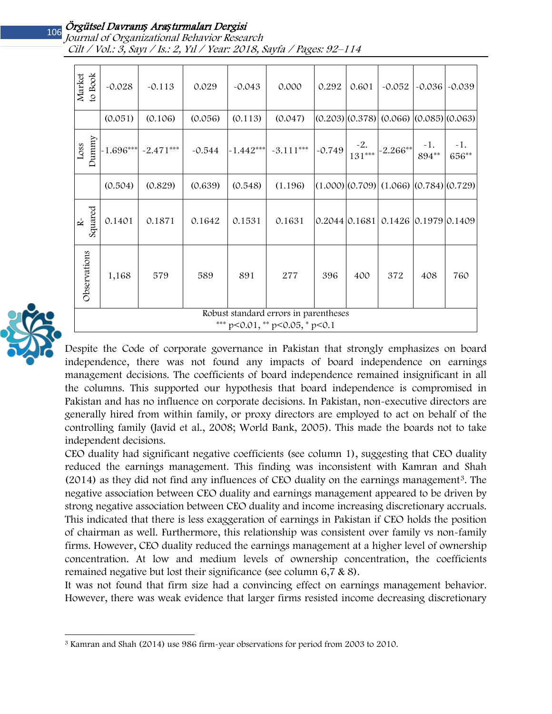| Journal of Organizational Behavior Research                              |  |  |
|--------------------------------------------------------------------------|--|--|
| - Cilt / Vol.: 3, Sayı / Is.: 2, Yıl / Year: 2018, Sayfa / Pages: 92–114 |  |  |

| Market<br>to Book                | $-0.028$                                                                        | $-0.113$    | 0.029    | $-0.043$ | 0.000                                                                                                                                                                                                                                                               | 0.292          | 0.601         | $-0.052$                            |     | $-0.036$ $-0.039$ |  |
|----------------------------------|---------------------------------------------------------------------------------|-------------|----------|----------|---------------------------------------------------------------------------------------------------------------------------------------------------------------------------------------------------------------------------------------------------------------------|----------------|---------------|-------------------------------------|-----|-------------------|--|
|                                  | (0.051)                                                                         | (0.106)     | (0.056)  | (0.113)  | (0.047)                                                                                                                                                                                                                                                             |                |               | (0.203)(0.378)(0.066)(0.085)(0.063) |     |                   |  |
| Dunnny<br>Loss                   | $-1.696***$                                                                     | $-2.471***$ | $-0.544$ |          | $\left\lceil -1.442*** \right\rceil$ ~3.111*** $\left\lceil -0.749 \right\rceil$ $\left\lceil -2.266** \right\rceil$ $\left\lceil -1.5 \right\rceil$ $\left\lceil -1.566*** \right\rceil$ $\left\lceil -1.566*** \right\rceil$ $\left\lceil -1.566*** \right\rceil$ |                |               |                                     |     |                   |  |
|                                  | (0.504)                                                                         | (0.829)     | (0.639)  | (0.548)  | (1.196)                                                                                                                                                                                                                                                             | (1.000)(0.709) |               | $(1.066)$ $(0.784)$ $(0.729)$       |     |                   |  |
| Squared<br>$\mathbf{k}^{\prime}$ | 0.1401                                                                          | 0.1871      | 0.1642   | 0.1531   | 0.1631                                                                                                                                                                                                                                                              |                | 0.2044 0.1681 | $0.1426$ 0.1979 0.1409              |     |                   |  |
| Observations                     | 1,168                                                                           | 579         | 589      | 891      | 277                                                                                                                                                                                                                                                                 | 396            | 400           | 372                                 | 408 | 760               |  |
|                                  | Robust standard errors in parentheses<br>*** $p<0.01$ , ** $p<0.05$ , * $p<0.1$ |             |          |          |                                                                                                                                                                                                                                                                     |                |               |                                     |     |                   |  |



106

Despite the Code of corporate governance in Pakistan that strongly emphasizes on board independence, there was not found any impacts of board independence on earnings management decisions. The coefficients of board independence remained insignificant in all the columns. This supported our hypothesis that board independence is compromised in Pakistan and has no influence on corporate decisions. In Pakistan, non-executive directors are generally hired from within family, or proxy directors are employed to act on behalf of the controlling family (Javid et al., 2008; World Bank, 2005). This made the boards not to take independent decisions.

CEO duality had significant negative coefficients (see column 1), suggesting that CEO duality reduced the earnings management. This finding was inconsistent with Kamran and Shah (2014) as they did not find any influences of CEO duality on the earnings management[3](#page-14-0). The negative association between CEO duality and earnings management appeared to be driven by strong negative association between CEO duality and income increasing discretionary accruals. This indicated that there is less exaggeration of earnings in Pakistan if CEO holds the position of chairman as well. Furthermore, this relationship was consistent over family vs non-family firms. However, CEO duality reduced the earnings management at a higher level of ownership concentration. At low and medium levels of ownership concentration, the coefficients remained negative but lost their significance (see column 6,7 & 8).

It was not found that firm size had a convincing effect on earnings management behavior. However, there was weak evidence that larger firms resisted income decreasing discretionary

<span id="page-14-0"></span> $\overline{\phantom{a}}$ <sup>3</sup> Kamran and Shah (2014) use 986 firm-year observations for period from 2003 to 2010.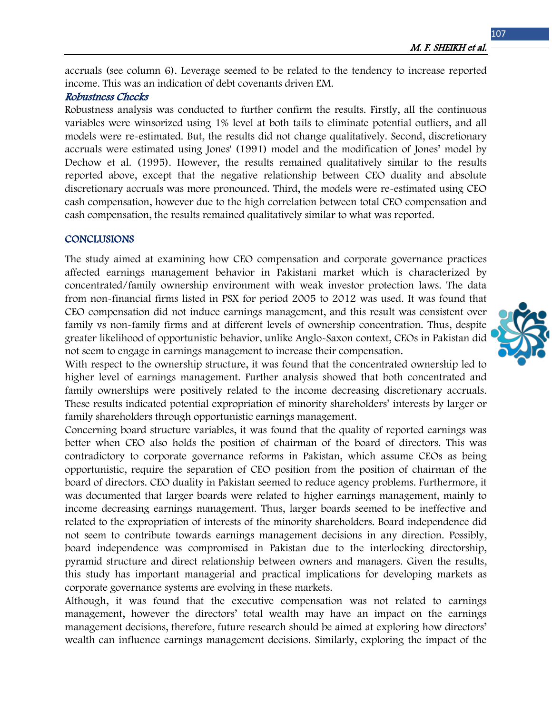accruals (see column 6). Leverage seemed to be related to the tendency to increase reported income. This was an indication of debt covenants driven EM.

## Robustness Checks

Robustness analysis was conducted to further confirm the results. Firstly, all the continuous variables were winsorized using 1% level at both tails to eliminate potential outliers, and all models were re-estimated. But, the results did not change qualitatively. Second, discretionary accruals were estimated using Jones' (1991) model and the modification of Jones' model by Dechow et al. (1995). However, the results remained qualitatively similar to the results reported above, except that the negative relationship between CEO duality and absolute discretionary accruals was more pronounced. Third, the models were re-estimated using CEO cash compensation, however due to the high correlation between total CEO compensation and cash compensation, the results remained qualitatively similar to what was reported.

## **CONCLUSIONS**

The study aimed at examining how CEO compensation and corporate governance practices affected earnings management behavior in Pakistani market which is characterized by concentrated/family ownership environment with weak investor protection laws. The data from non-financial firms listed in PSX for period 2005 to 2012 was used. It was found that CEO compensation did not induce earnings management, and this result was consistent over family vs non-family firms and at different levels of ownership concentration. Thus, despite greater likelihood of opportunistic behavior, unlike Anglo-Saxon context, CEOs in Pakistan did not seem to engage in earnings management to increase their compensation.

With respect to the ownership structure, it was found that the concentrated ownership led to higher level of earnings management. Further analysis showed that both concentrated and family ownerships were positively related to the income decreasing discretionary accruals. These results indicated potential expropriation of minority shareholders' interests by larger or family shareholders through opportunistic earnings management.

Concerning board structure variables, it was found that the quality of reported earnings was better when CEO also holds the position of chairman of the board of directors. This was contradictory to corporate governance reforms in Pakistan, which assume CEOs as being opportunistic, require the separation of CEO position from the position of chairman of the board of directors. CEO duality in Pakistan seemed to reduce agency problems. Furthermore, it was documented that larger boards were related to higher earnings management, mainly to income decreasing earnings management. Thus, larger boards seemed to be ineffective and related to the expropriation of interests of the minority shareholders. Board independence did not seem to contribute towards earnings management decisions in any direction. Possibly, board independence was compromised in Pakistan due to the interlocking directorship, pyramid structure and direct relationship between owners and managers. Given the results, this study has important managerial and practical implications for developing markets as corporate governance systems are evolving in these markets.

Although, it was found that the executive compensation was not related to earnings management, however the directors' total wealth may have an impact on the earnings management decisions, therefore, future research should be aimed at exploring how directors' wealth can influence earnings management decisions. Similarly, exploring the impact of the

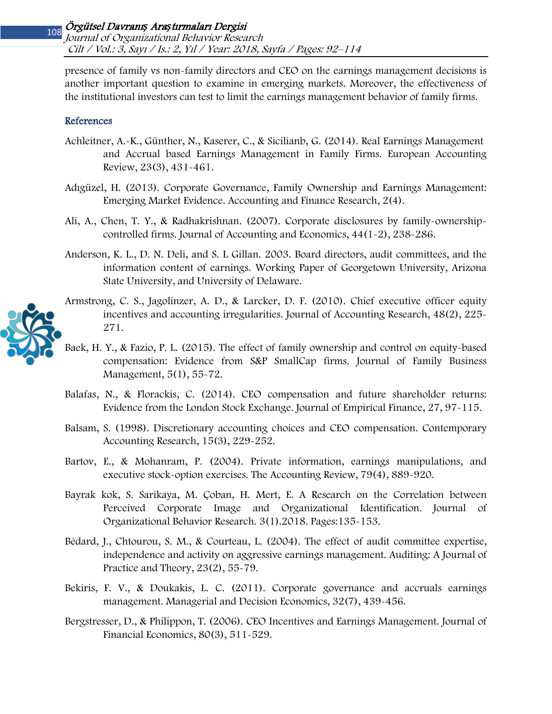presence of family vs non-family directors and CEO on the earnings management decisions is another important question to examine in emerging markets. Moreover, the effectiveness of the institutional investors can test to limit the earnings management behavior of family firms.

#### References

- Achleitner, A.-K., Günther, N., Kaserer, C., & Sicilianb, G. (2014). Real Earnings Management and Accrual based Earnings Management in Family Firms. European Accounting Review, 23(3), 431-461.
- Adıgüzel, H. (2013). Corporate Governance, Family Ownership and Earnings Management: Emerging Market Evidence. Accounting and Finance Research, 2(4).
- Ali, A., Chen, T. Y., & Radhakrishnan. (2007). Corporate disclosures by family-ownershipcontrolled firms. Journal of Accounting and Economics, 44(1-2), 238-286.
- Anderson, K. L., D. N. Deli, and S. L Gillan. 2003. Board directors, audit committees, and the information content of earnings. Working Paper of Georgetown University, Arizona State University, and University of Delaware.
- Armstrong, C. S., Jagolinzer, A. D., & Larcker, D. F. (2010). Chief executive officer equity incentives and accounting irregularities. Journal of Accounting Research, 48(2), 225- 271.
- Baek, H. Y., & Fazio, P. L. (2015). The effect of family ownership and control on equity-based compensation: Evidence from S&P SmallCap firms. Journal of Family Business Management, 5(1), 55-72.
- Balafas, N., & Florackis, C. (2014). CEO compensation and future shareholder returns: Evidence from the London Stock Exchange. Journal of Empirical Finance, 27, 97-115.
- Balsam, S. (1998). Discretionary accounting choices and CEO compensation. Contemporary Accounting Research, 15(3), 229-252.
- Bartov, E., & Mohanram, P. (2004). Private information, earnings manipulations, and executive stock-option exercises. The Accounting Review, 79(4), 889-920.
- Bayrak kok, S. Sarikaya, M. Çoban, H. Mert, E. A Research on the Correlation between Perceived Corporate Image and Organizational Identification. Journal of Organizational Behavior Research. 3(1).2018. Pages:135-153.
- Bédard, J., Chtourou, S. M., & Courteau, L. (2004). The effect of audit committee expertise, independence and activity on aggressive earnings management. Auditing: A Journal of Practice and Theory, 23(2), 55-79.
- Bekiris, F. V., & Doukakis, L. C. (2011). Corporate governance and accruals earnings management. Managerial and Decision Economics, 32(7), 439-456.
- Bergstresser, D., & Philippon, T. (2006). CEO Incentives and Earnings Management. Journal of Financial Economics, 80(3), 511-529.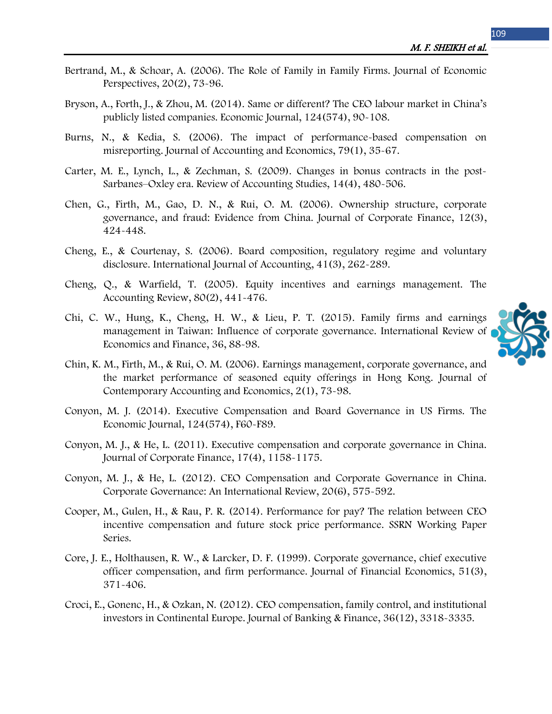- Bertrand, M., & Schoar, A. (2006). The Role of Family in Family Firms. Journal of Economic Perspectives, 20(2), 73-96.
- Bryson, A., Forth, J., & Zhou, M. (2014). Same or different? The CEO labour market in China's publicly listed companies. Economic Journal, 124(574), 90-108.
- Burns, N., & Kedia, S. (2006). The impact of performance-based compensation on misreporting. Journal of Accounting and Economics, 79(1), 35-67.
- Carter, M. E., Lynch, L., & Zechman, S. (2009). Changes in bonus contracts in the post-Sarbanes–Oxley era. Review of Accounting Studies, 14(4), 480-506.
- Chen, G., Firth, M., Gao, D. N., & Rui, O. M. (2006). Ownership structure, corporate governance, and fraud: Evidence from China. Journal of Corporate Finance, 12(3), 424-448.
- Cheng, E., & Courtenay, S. (2006). Board composition, regulatory regime and voluntary disclosure. International Journal of Accounting, 41(3), 262-289.
- Cheng, Q., & Warfield, T. (2005). Equity incentives and earnings management. The Accounting Review, 80(2), 441-476.
- Chi, C. W., Hung, K., Cheng, H. W., & Lieu, P. T. (2015). Family firms and earnings management in Taiwan: Influence of corporate governance. International Review of Economics and Finance, 36, 88-98.



- Chin, K. M., Firth, M., & Rui, O. M. (2006). Earnings management, corporate governance, and the market performance of seasoned equity offerings in Hong Kong. Journal of Contemporary Accounting and Economics, 2(1), 73-98.
- Conyon, M. J. (2014). Executive Compensation and Board Governance in US Firms. The Economic Journal, 124(574), F60-F89.
- Conyon, M. J., & He, L. (2011). Executive compensation and corporate governance in China. Journal of Corporate Finance, 17(4), 1158-1175.
- Conyon, M. J., & He, L. (2012). CEO Compensation and Corporate Governance in China. Corporate Governance: An International Review, 20(6), 575-592.
- Cooper, M., Gulen, H., & Rau, P. R. (2014). Performance for pay? The relation between CEO incentive compensation and future stock price performance. SSRN Working Paper Series.
- Core, J. E., Holthausen, R. W., & Larcker, D. F. (1999). Corporate governance, chief executive officer compensation, and firm performance. Journal of Financial Economics, 51(3), 371-406.
- Croci, E., Gonenc, H., & Ozkan, N. (2012). CEO compensation, family control, and institutional investors in Continental Europe. Journal of Banking & Finance, 36(12), 3318-3335.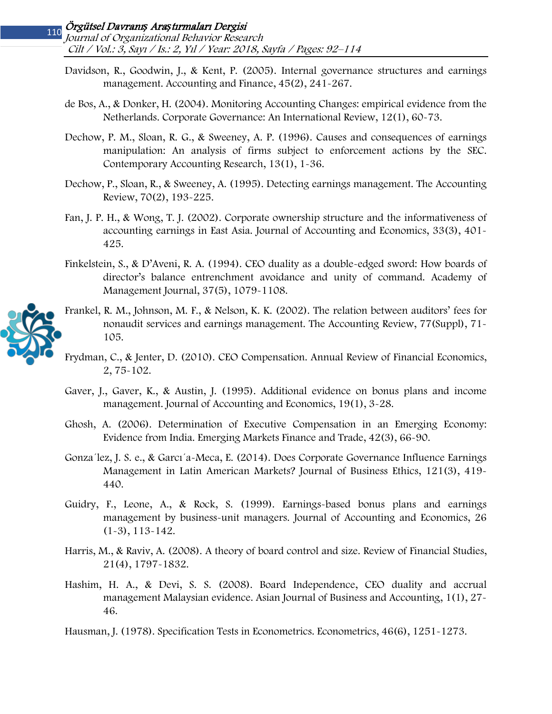- Davidson, R., Goodwin, J., & Kent, P. (2005). Internal governance structures and earnings management. Accounting and Finance, 45(2), 241-267.
- de Bos, A., & Donker, H. (2004). Monitoring Accounting Changes: empirical evidence from the Netherlands. Corporate Governance: An International Review, 12(1), 60-73.
- Dechow, P. M., Sloan, R. G., & Sweeney, A. P. (1996). Causes and consequences of earnings manipulation: An analysis of firms subject to enforcement actions by the SEC. Contemporary Accounting Research, 13(1), 1-36.
- Dechow, P., Sloan, R., & Sweeney, A. (1995). Detecting earnings management. The Accounting Review, 70(2), 193-225.
- Fan, J. P. H., & Wong, T. J. (2002). Corporate ownership structure and the informativeness of accounting earnings in East Asia. Journal of Accounting and Economics, 33(3), 401- 425.
- Finkelstein, S., & D'Aveni, R. A. (1994). CEO duality as a double-edged sword: How boards of director's balance entrenchment avoidance and unity of command. Academy of Management Journal, 37(5), 1079-1108.



- Frydman, C., & Jenter, D. (2010). CEO Compensation. Annual Review of Financial Economics, 2, 75-102.
- Gaver, J., Gaver, K., & Austin, J. (1995). Additional evidence on bonus plans and income management. Journal of Accounting and Economics, 19(1), 3-28.
- Ghosh, A. (2006). Determination of Executive Compensation in an Emerging Economy: Evidence from India. Emerging Markets Finance and Trade, 42(3), 66-90.
- Gonza´lez, J. S. e., & Garcı´a-Meca, E. (2014). Does Corporate Governance Influence Earnings Management in Latin American Markets? Journal of Business Ethics, 121(3), 419- 440.
- Guidry, F., Leone, A., & Rock, S. (1999). Earnings-based bonus plans and earnings management by business-unit managers. Journal of Accounting and Economics, 26 (1-3), 113-142.
- Harris, M., & Raviv, A. (2008). A theory of board control and size. Review of Financial Studies, 21(4), 1797-1832.
- Hashim, H. A., & Devi, S. S. (2008). Board Independence, CEO duality and accrual management Malaysian evidence. Asian Journal of Business and Accounting, 1(1), 27- 46.

Hausman, J. (1978). Specification Tests in Econometrics. Econometrics, 46(6), 1251-1273.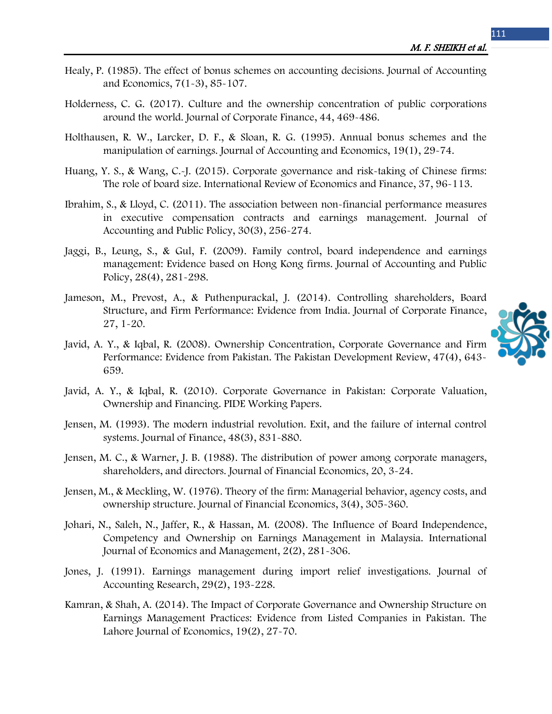- Healy, P. (1985). The effect of bonus schemes on accounting decisions. Journal of Accounting and Economics, 7(1-3), 85-107.
- Holderness, C. G. (2017). Culture and the ownership concentration of public corporations around the world. Journal of Corporate Finance, 44, 469-486.
- Holthausen, R. W., Larcker, D. F., & Sloan, R. G. (1995). Annual bonus schemes and the manipulation of earnings. Journal of Accounting and Economics, 19(1), 29-74.
- Huang, Y. S., & Wang, C.-J. (2015). Corporate governance and risk-taking of Chinese firms: The role of board size. International Review of Economics and Finance, 37, 96-113.
- Ibrahim, S., & Lloyd, C. (2011). The association between non-financial performance measures in executive compensation contracts and earnings management. Journal of Accounting and Public Policy, 30(3), 256-274.
- Jaggi, B., Leung, S., & Gul, F. (2009). Family control, board independence and earnings management: Evidence based on Hong Kong firms. Journal of Accounting and Public Policy, 28(4), 281-298.
- Jameson, M., Prevost, A., & Puthenpurackal, J. (2014). Controlling shareholders, Board Structure, and Firm Performance: Evidence from India. Journal of Corporate Finance, 27, 1-20.
- Javid, A. Y., & Iqbal, R. (2008). Ownership Concentration, Corporate Governance and Firm Performance: Evidence from Pakistan. The Pakistan Development Review, 47(4), 643- 659.
- Javid, A. Y., & Iqbal, R. (2010). Corporate Governance in Pakistan: Corporate Valuation, Ownership and Financing. PIDE Working Papers.
- Jensen, M. (1993). The modern industrial revolution. Exit, and the failure of internal control systems. Journal of Finance, 48(3), 831-880.
- Jensen, M. C., & Warner, J. B. (1988). The distribution of power among corporate managers, shareholders, and directors. Journal of Financial Economics, 20, 3-24.
- Jensen, M., & Meckling, W. (1976). Theory of the firm: Managerial behavior, agency costs, and ownership structure. Journal of Financial Economics, 3(4), 305-360.
- Johari, N., Saleh, N., Jaffer, R., & Hassan, M. (2008). The Influence of Board Independence, Competency and Ownership on Earnings Management in Malaysia. International Journal of Economics and Management, 2(2), 281-306.
- Jones, J. (1991). Earnings management during import relief investigations. Journal of Accounting Research, 29(2), 193-228.
- Kamran, & Shah, A. (2014). The Impact of Corporate Governance and Ownership Structure on Earnings Management Practices: Evidence from Listed Companies in Pakistan. The Lahore Journal of Economics, 19(2), 27-70.

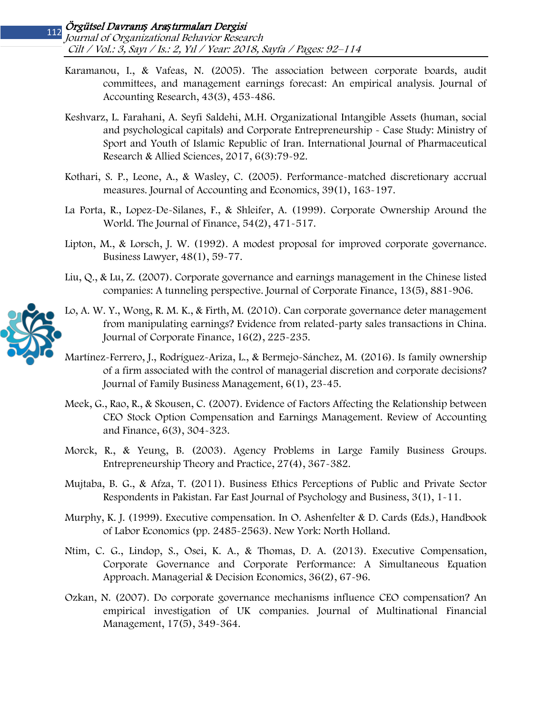- Karamanou, I., & Vafeas, N. (2005). The association between corporate boards, audit committees, and management earnings forecast: An empirical analysis. Journal of Accounting Research, 43(3), 453-486.
- Keshvarz, L. Farahani, A. Seyfi Saldehi, M.H. Organizational Intangible Assets (human, social and psychological capitals) and Corporate Entrepreneurship - Case Study: Ministry of Sport and Youth of Islamic Republic of Iran. International Journal of Pharmaceutical Research & Allied Sciences, 2017, 6(3):79-92.
- Kothari, S. P., Leone, A., & Wasley, C. (2005). Performance-matched discretionary accrual measures. Journal of Accounting and Economics, 39(1), 163-197.
- La Porta, R., Lopez-De-Silanes, F., & Shleifer, A. (1999). Corporate Ownership Around the World. The Journal of Finance, 54(2), 471-517.
- Lipton, M., & Lorsch, J. W. (1992). A modest proposal for improved corporate governance. Business Lawyer, 48(1), 59-77.
- Liu, Q., & Lu, Z. (2007). Corporate governance and earnings management in the Chinese listed companies: A tunneling perspective. Journal of Corporate Finance, 13(5), 881-906.



- Lo, A. W. Y., Wong, R. M. K., & Firth, M. (2010). Can corporate governance deter management from manipulating earnings? Evidence from related-party sales transactions in China. Journal of Corporate Finance, 16(2), 225-235.
- Martínez-Ferrero, J., Rodríguez-Ariza, L., & Bermejo-Sánchez, M. (2016). Is family ownership of a firm associated with the control of managerial discretion and corporate decisions? Journal of Family Business Management, 6(1), 23-45.
- Meek, G., Rao, R., & Skousen, C. (2007). Evidence of Factors Affecting the Relationship between CEO Stock Option Compensation and Earnings Management. Review of Accounting and Finance, 6(3), 304-323.
- Morck, R., & Yeung, B. (2003). Agency Problems in Large Family Business Groups. Entrepreneurship Theory and Practice, 27(4), 367-382.
- Mujtaba, B. G., & Afza, T. (2011). Business Ethics Perceptions of Public and Private Sector Respondents in Pakistan. Far East Journal of Psychology and Business, 3(1), 1-11.
- Murphy, K. J. (1999). Executive compensation. In O. Ashenfelter & D. Cards (Eds.), Handbook of Labor Economics (pp. 2485-2563). New York: North Holland.
- Ntim, C. G., Lindop, S., Osei, K. A., & Thomas, D. A. (2013). Executive Compensation, Corporate Governance and Corporate Performance: A Simultaneous Equation Approach. Managerial & Decision Economics, 36(2), 67-96.
- Ozkan, N. (2007). Do corporate governance mechanisms influence CEO compensation? An empirical investigation of UK companies. Journal of Multinational Financial Management, 17(5), 349-364.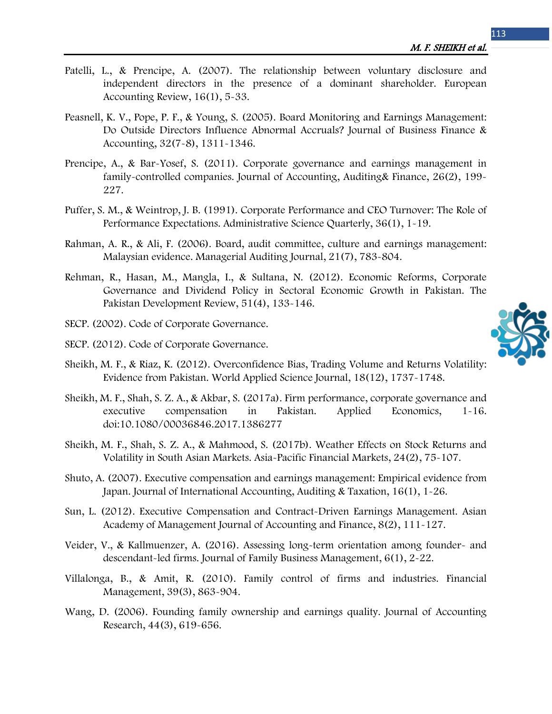- Patelli, L., & Prencipe, A. (2007). The relationship between voluntary disclosure and independent directors in the presence of a dominant shareholder. European Accounting Review, 16(1), 5-33.
- Peasnell, K. V., Pope, P. F., & Young, S. (2005). Board Monitoring and Earnings Management: Do Outside Directors Influence Abnormal Accruals? Journal of Business Finance & Accounting, 32(7-8), 1311-1346.
- Prencipe, A., & Bar-Yosef, S. (2011). Corporate governance and earnings management in family-controlled companies. Journal of Accounting, Auditing& Finance, 26(2), 199- 227.
- Puffer, S. M., & Weintrop, J. B. (1991). Corporate Performance and CEO Turnover: The Role of Performance Expectations. Administrative Science Quarterly, 36(1), 1-19.
- Rahman, A. R., & Ali, F. (2006). Board, audit committee, culture and earnings management: Malaysian evidence. Managerial Auditing Journal, 21(7), 783-804.
- Rehman, R., Hasan, M., Mangla, I., & Sultana, N. (2012). Economic Reforms, Corporate Governance and Dividend Policy in Sectoral Economic Growth in Pakistan. The Pakistan Development Review, 51(4), 133-146.
- SECP. (2002). Code of Corporate Governance.
- SECP. (2012). Code of Corporate Governance.
- Sheikh, M. F., & Riaz, K. (2012). Overconfidence Bias, Trading Volume and Returns Volatility: Evidence from Pakistan. World Applied Science Journal, 18(12), 1737-1748.
- Sheikh, M. F., Shah, S. Z. A., & Akbar, S. (2017a). Firm performance, corporate governance and executive compensation in Pakistan. Applied Economics, 1-16. doi:10.1080/00036846.2017.1386277
- Sheikh, M. F., Shah, S. Z. A., & Mahmood, S. (2017b). Weather Effects on Stock Returns and Volatility in South Asian Markets. Asia-Pacific Financial Markets, 24(2), 75-107.
- Shuto, A. (2007). Executive compensation and earnings management: Empirical evidence from Japan. Journal of International Accounting, Auditing & Taxation, 16(1), 1-26.
- Sun, L. (2012). Executive Compensation and Contract-Driven Earnings Management. Asian Academy of Management Journal of Accounting and Finance, 8(2), 111-127.
- Veider, V., & Kallmuenzer, A. (2016). Assessing long-term orientation among founder- and descendant-led firms. Journal of Family Business Management, 6(1), 2-22.
- Villalonga, B., & Amit, R. (2010). Family control of firms and industries. Financial Management, 39(3), 863-904.
- Wang, D. (2006). Founding family ownership and earnings quality. Journal of Accounting Research, 44(3), 619-656.